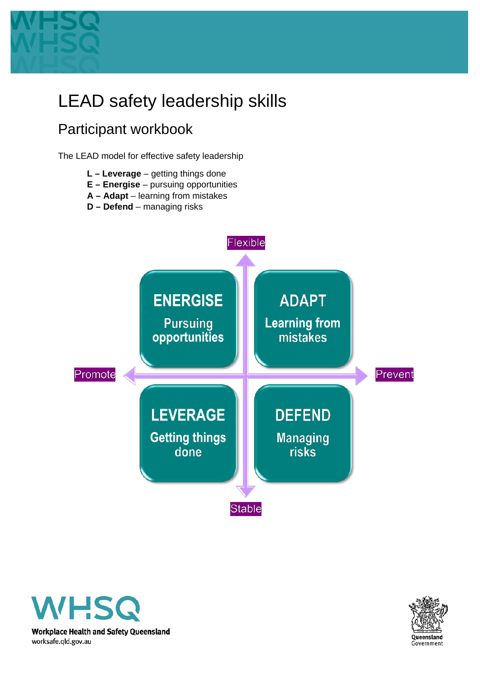

# LEAD safety leadership skills

## Participant workbook

The LEAD model for effective safety leadership

- **L – Leverage** getting things done
- **E – Energise** pursuing opportunities
- **A – Adapt** learning from mistakes
- **D – Defend** managing risks





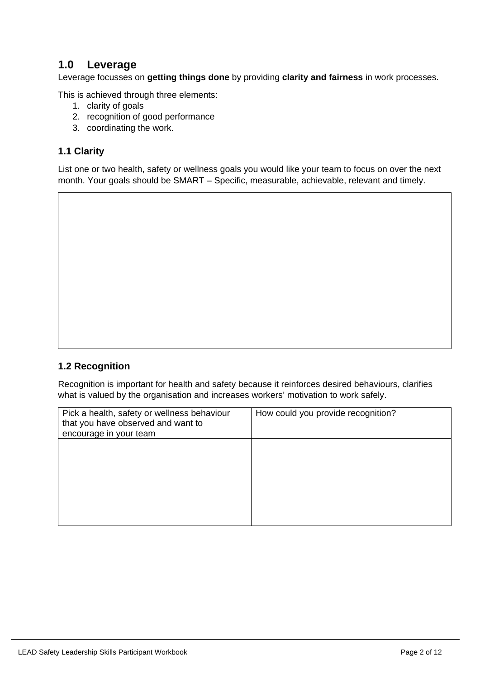### **1.0 Leverage**

Leverage focusses on **getting things done** by providing **clarity and fairness** in work processes.

This is achieved through three elements:

- 1. clarity of goals
- 2. recognition of good performance
- 3. coordinating the work.

### **1.1 Clarity**

List one or two health, safety or wellness goals you would like your team to focus on over the next month. Your goals should be SMART – Specific, measurable, achievable, relevant and timely.

### **1.2 Recognition**

Recognition is important for health and safety because it reinforces desired behaviours, clarifies what is valued by the organisation and increases workers' motivation to work safely.

| Pick a health, safety or wellness behaviour<br>that you have observed and want to<br>encourage in your team | How could you provide recognition? |
|-------------------------------------------------------------------------------------------------------------|------------------------------------|
|                                                                                                             |                                    |
|                                                                                                             |                                    |
|                                                                                                             |                                    |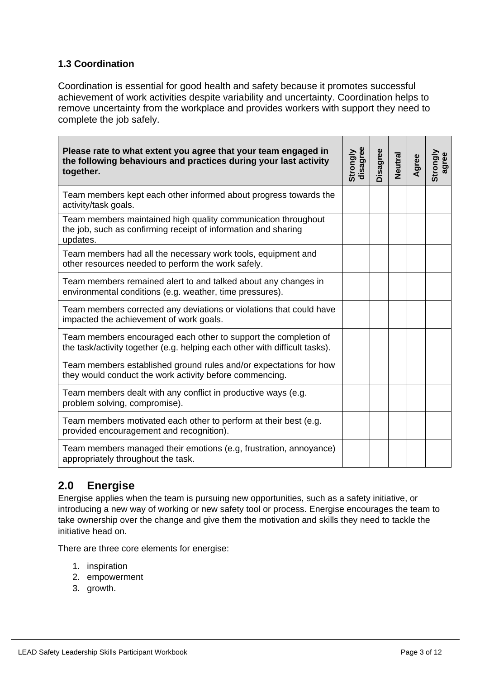### **1.3 Coordination**

Coordination is essential for good health and safety because it promotes successful achievement of work activities despite variability and uncertainty. Coordination helps to remove uncertainty from the workplace and provides workers with support they need to complete the job safely.

| Please rate to what extent you agree that your team engaged in<br>the following behaviours and practices during your last activity<br>together. | disagree<br>Strongly | Disagree | Neutral | Agree | Strongly<br>agree |
|-------------------------------------------------------------------------------------------------------------------------------------------------|----------------------|----------|---------|-------|-------------------|
| Team members kept each other informed about progress towards the<br>activity/task goals.                                                        |                      |          |         |       |                   |
| Team members maintained high quality communication throughout<br>the job, such as confirming receipt of information and sharing<br>updates.     |                      |          |         |       |                   |
| Team members had all the necessary work tools, equipment and<br>other resources needed to perform the work safely.                              |                      |          |         |       |                   |
| Team members remained alert to and talked about any changes in<br>environmental conditions (e.g. weather, time pressures).                      |                      |          |         |       |                   |
| Team members corrected any deviations or violations that could have<br>impacted the achievement of work goals.                                  |                      |          |         |       |                   |
| Team members encouraged each other to support the completion of<br>the task/activity together (e.g. helping each other with difficult tasks).   |                      |          |         |       |                   |
| Team members established ground rules and/or expectations for how<br>they would conduct the work activity before commencing.                    |                      |          |         |       |                   |
| Team members dealt with any conflict in productive ways (e.g.<br>problem solving, compromise).                                                  |                      |          |         |       |                   |
| Team members motivated each other to perform at their best (e.g.<br>provided encouragement and recognition).                                    |                      |          |         |       |                   |
| Team members managed their emotions (e.g. frustration, annoyance)<br>appropriately throughout the task.                                         |                      |          |         |       |                   |

### **2.0 Energise**

Energise applies when the team is pursuing new opportunities, such as a safety initiative, or introducing a new way of working or new safety tool or process. Energise encourages the team to take ownership over the change and give them the motivation and skills they need to tackle the initiative head on.

There are three core elements for energise:

- 1. inspiration
- 2. empowerment
- 3. growth.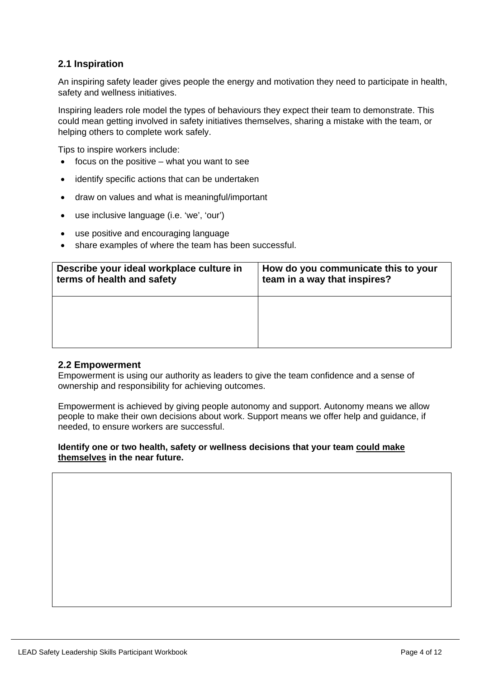### **2.1 Inspiration**

An inspiring safety leader gives people the energy and motivation they need to participate in health, safety and wellness initiatives.

Inspiring leaders role model the types of behaviours they expect their team to demonstrate. This could mean getting involved in safety initiatives themselves, sharing a mistake with the team, or helping others to complete work safely.

Tips to inspire workers include:

- focus on the positive  $-$  what you want to see
- identify specific actions that can be undertaken
- draw on values and what is meaningful/important
- use inclusive language (i.e. 'we', 'our')
- use positive and encouraging language
- share examples of where the team has been successful.

| Describe your ideal workplace culture in | How do you communicate this to your |
|------------------------------------------|-------------------------------------|
| terms of health and safety               | team in a way that inspires?        |
|                                          |                                     |

#### **2.2 Empowerment**

Empowerment is using our authority as leaders to give the team confidence and a sense of ownership and responsibility for achieving outcomes.

Empowerment is achieved by giving people autonomy and support. Autonomy means we allow people to make their own decisions about work. Support means we offer help and guidance, if needed, to ensure workers are successful.

#### **Identify one or two health, safety or wellness decisions that your team could make themselves in the near future.**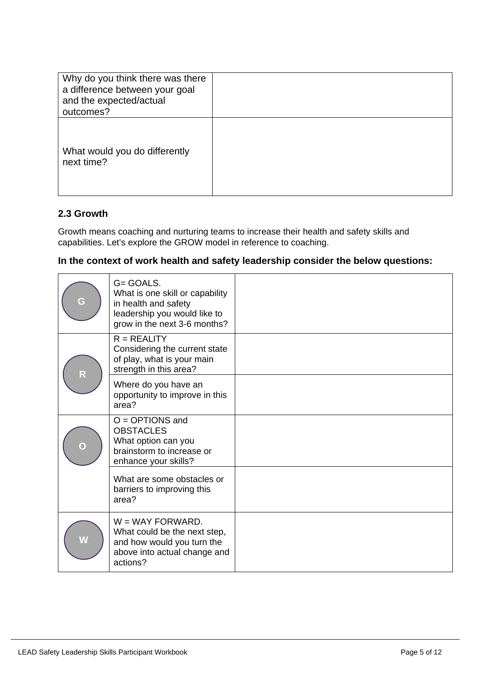| Why do you think there was there<br>a difference between your goal<br>and the expected/actual<br>outcomes? |  |
|------------------------------------------------------------------------------------------------------------|--|
| What would you do differently<br>next time?                                                                |  |

### **2.3 Growth**

Growth means coaching and nurturing teams to increase their health and safety skills and capabilities. Let's explore the GROW model in reference to coaching.

### **In the context of work health and safety leadership consider the below questions:**

| G                       | G= GOALS.<br>What is one skill or capability<br>in health and safety<br>leadership you would like to<br>grow in the next 3-6 months? |  |
|-------------------------|--------------------------------------------------------------------------------------------------------------------------------------|--|
| $\overline{\mathsf{R}}$ | $R = REALITY$<br>Considering the current state<br>of play, what is your main<br>strength in this area?                               |  |
|                         | Where do you have an<br>opportunity to improve in this<br>area?                                                                      |  |
| $\overline{\mathsf{C}}$ | $O = OPTIONS$ and<br><b>OBSTACLES</b><br>What option can you<br>brainstorm to increase or<br>enhance your skills?                    |  |
|                         | What are some obstacles or<br>barriers to improving this<br>area?                                                                    |  |
| W                       | $W = WAY FORMARD$ .<br>What could be the next step,<br>and how would you turn the<br>above into actual change and<br>actions?        |  |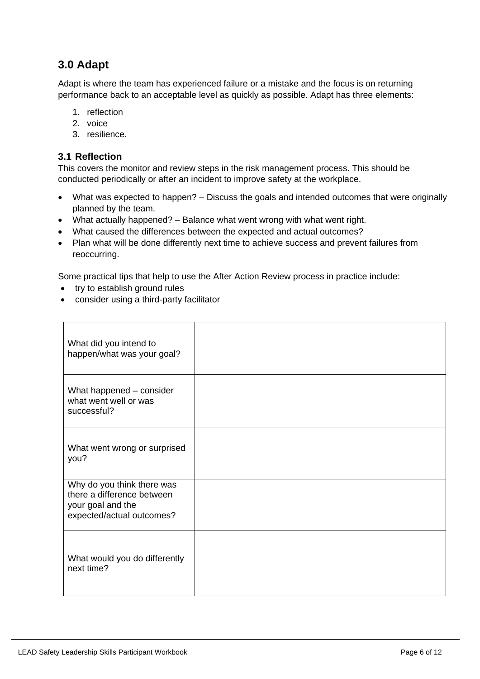### **3.0 Adapt**

Adapt is where the team has experienced failure or a mistake and the focus is on returning performance back to an acceptable level as quickly as possible. Adapt has three elements:

- 1. reflection
- 2. voice
- 3. resilience.

### **3.1 Reflection**

This covers the monitor and review steps in the risk management process. This should be conducted periodically or after an incident to improve safety at the workplace.

- What was expected to happen? Discuss the goals and intended outcomes that were originally planned by the team.
- What actually happened? Balance what went wrong with what went right.
- What caused the differences between the expected and actual outcomes?
- Plan what will be done differently next time to achieve success and prevent failures from reoccurring.

Some practical tips that help to use the After Action Review process in practice include:

- try to establish ground rules
- consider using a third-party facilitator

| What did you intend to<br>happen/what was your goal?                                                       |  |
|------------------------------------------------------------------------------------------------------------|--|
| What happened - consider<br>what went well or was<br>successful?                                           |  |
| What went wrong or surprised<br>you?                                                                       |  |
| Why do you think there was<br>there a difference between<br>your goal and the<br>expected/actual outcomes? |  |
| What would you do differently<br>next time?                                                                |  |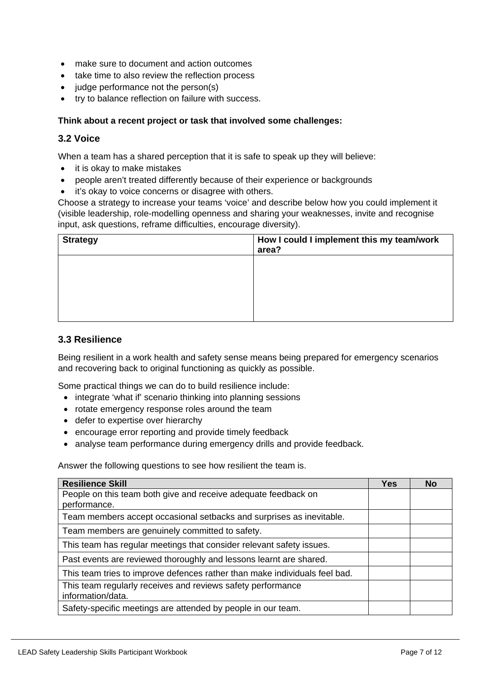- make sure to document and action outcomes
- take time to also review the reflection process
- judge performance not the person(s)
- try to balance reflection on failure with success.

#### **Think about a recent project or task that involved some challenges:**

### **3.2 Voice**

When a team has a shared perception that it is safe to speak up they will believe:

- it is okay to make mistakes
- people aren't treated differently because of their experience or backgrounds
- it's okay to voice concerns or disagree with others.

Choose a strategy to increase your teams 'voice' and describe below how you could implement it (visible leadership, role-modelling openness and sharing your weaknesses, invite and recognise input, ask questions, reframe difficulties, encourage diversity).

| <b>Strategy</b> | How I could I implement this my team/work<br>area? |
|-----------------|----------------------------------------------------|
|                 |                                                    |
|                 |                                                    |
|                 |                                                    |

#### **3.3 Resilience**

Being resilient in a work health and safety sense means being prepared for emergency scenarios and recovering back to original functioning as quickly as possible.

Some practical things we can do to build resilience include:

- integrate 'what if' scenario thinking into planning sessions
- rotate emergency response roles around the team
- defer to expertise over hierarchy
- encourage error reporting and provide timely feedback
- analyse team performance during emergency drills and provide feedback.

Answer the following questions to see how resilient the team is.

| <b>Resilience Skill</b>                                                          | <b>Yes</b> | No |
|----------------------------------------------------------------------------------|------------|----|
| People on this team both give and receive adequate feedback on<br>performance.   |            |    |
| Team members accept occasional setbacks and surprises as inevitable.             |            |    |
| Team members are genuinely committed to safety.                                  |            |    |
| This team has regular meetings that consider relevant safety issues.             |            |    |
| Past events are reviewed thoroughly and lessons learnt are shared.               |            |    |
| This team tries to improve defences rather than make individuals feel bad.       |            |    |
| This team regularly receives and reviews safety performance<br>information/data. |            |    |
| Safety-specific meetings are attended by people in our team.                     |            |    |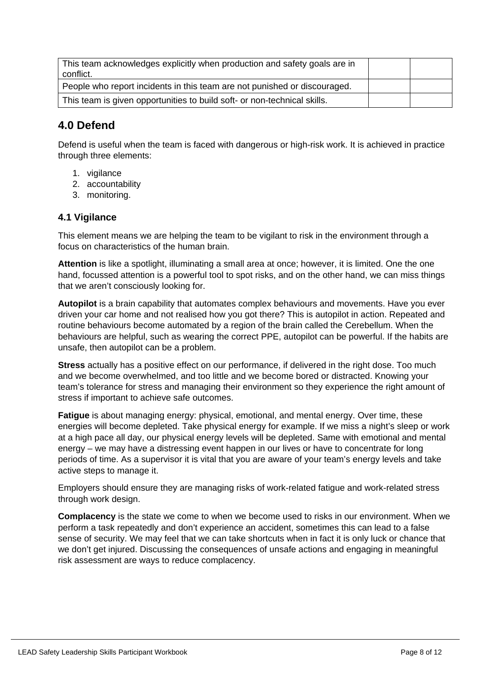| This team acknowledges explicitly when production and safety goals are in<br>conflict. |  |
|----------------------------------------------------------------------------------------|--|
| People who report incidents in this team are not punished or discouraged.              |  |
| This team is given opportunities to build soft- or non-technical skills.               |  |

### **4.0 Defend**

Defend is useful when the team is faced with dangerous or high-risk work. It is achieved in practice through three elements:

- 1. vigilance
- 2. accountability
- 3. monitoring.

### **4.1 Vigilance**

This element means we are helping the team to be vigilant to risk in the environment through a focus on characteristics of the human brain.

**Attention** is like a spotlight, illuminating a small area at once; however, it is limited. One the one hand, focussed attention is a powerful tool to spot risks, and on the other hand, we can miss things that we aren't consciously looking for.

**Autopilot** is a brain capability that automates complex behaviours and movements. Have you ever driven your car home and not realised how you got there? This is autopilot in action. Repeated and routine behaviours become automated by a region of the brain called the Cerebellum. When the behaviours are helpful, such as wearing the correct PPE, autopilot can be powerful. If the habits are unsafe, then autopilot can be a problem.

**Stress** actually has a positive effect on our performance, if delivered in the right dose. Too much and we become overwhelmed, and too little and we become bored or distracted. Knowing your team's tolerance for stress and managing their environment so they experience the right amount of stress if important to achieve safe outcomes.

**Fatigue** is about managing energy: physical, emotional, and mental energy. Over time, these energies will become depleted. Take physical energy for example. If we miss a night's sleep or work at a high pace all day, our physical energy levels will be depleted. Same with emotional and mental energy – we may have a distressing event happen in our lives or have to concentrate for long periods of time. As a supervisor it is vital that you are aware of your team's energy levels and take active steps to manage it.

Employers should ensure they are managing risks of work-related fatigue and work-related stress through work design.

**Complacency** is the state we come to when we become used to risks in our environment. When we perform a task repeatedly and don't experience an accident, sometimes this can lead to a false sense of security. We may feel that we can take shortcuts when in fact it is only luck or chance that we don't get injured. Discussing the consequences of unsafe actions and engaging in meaningful risk assessment are ways to reduce complacency.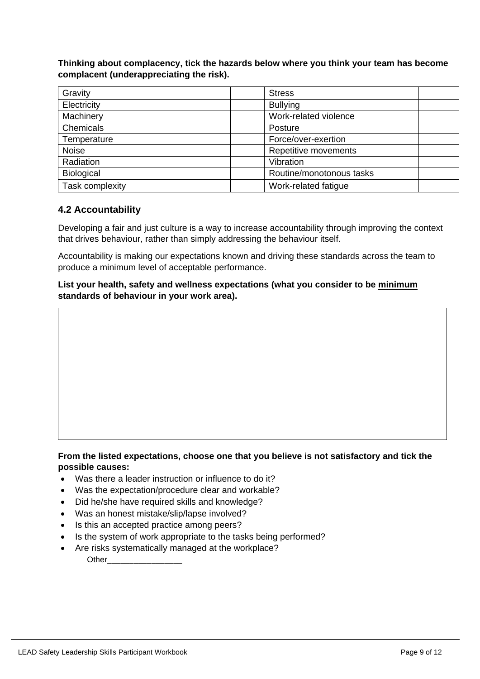**Thinking about complacency, tick the hazards below where you think your team has become complacent (underappreciating the risk).**

| Gravity           | <b>Stress</b>            |
|-------------------|--------------------------|
| Electricity       | <b>Bullying</b>          |
| Machinery         | Work-related violence    |
| Chemicals         | Posture                  |
| Temperature       | Force/over-exertion      |
| <b>Noise</b>      | Repetitive movements     |
| Radiation         | Vibration                |
| <b>Biological</b> | Routine/monotonous tasks |
| Task complexity   | Work-related fatigue     |

### **4.2 Accountability**

Developing a fair and just culture is a way to increase accountability through improving the context that drives behaviour, rather than simply addressing the behaviour itself.

Accountability is making our expectations known and driving these standards across the team to produce a minimum level of acceptable performance.

**List your health, safety and wellness expectations (what you consider to be minimum standards of behaviour in your work area).** 

### **From the listed expectations, choose one that you believe is not satisfactory and tick the possible causes:**

- Was there a leader instruction or influence to do it?
- Was the expectation/procedure clear and workable?
- Did he/she have required skills and knowledge?
- Was an honest mistake/slip/lapse involved?
- Is this an accepted practice among peers?
- Is the system of work appropriate to the tasks being performed?
- Are risks systematically managed at the workplace? Other\_\_\_\_\_\_\_\_\_\_\_\_\_\_\_\_\_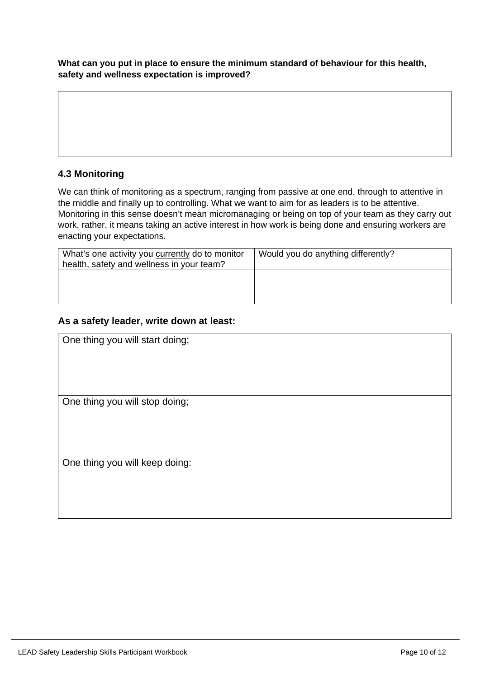**What can you put in place to ensure the minimum standard of behaviour for this health, safety and wellness expectation is improved?**

### **4.3 Monitoring**

We can think of monitoring as a spectrum, ranging from passive at one end, through to attentive in the middle and finally up to controlling. What we want to aim for as leaders is to be attentive. Monitoring in this sense doesn't mean micromanaging or being on top of your team as they carry out work, rather, it means taking an active interest in how work is being done and ensuring workers are enacting your expectations.

| What's one activity you currently do to monitor<br>health, safety and wellness in your team? | Would you do anything differently? |
|----------------------------------------------------------------------------------------------|------------------------------------|
|                                                                                              |                                    |
|                                                                                              |                                    |

### **As a safety leader, write down at least:**

| One thing you will start doing; |
|---------------------------------|
|                                 |
|                                 |
| One thing you will stop doing;  |
|                                 |
|                                 |
|                                 |
| One thing you will keep doing:  |
|                                 |
|                                 |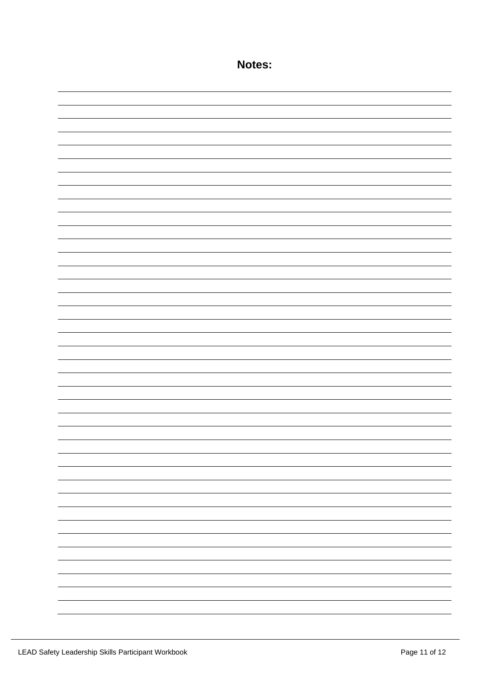| Notes: |
|--------|
|        |
|        |
|        |
|        |
|        |
|        |
|        |
|        |
|        |
|        |
|        |
|        |
|        |
|        |
|        |
|        |
|        |
|        |
|        |
|        |
|        |
|        |
|        |
|        |
|        |
|        |
|        |
|        |
|        |
|        |
|        |
|        |
|        |
|        |
|        |
|        |